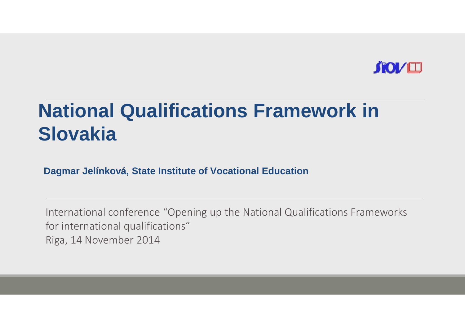

#### **National Qualifications Framework in Slovakia**

**Dagmar Jelínková, State Institute of Vocational Education**

International conference "Opening up the National Qualifications Frameworksfor international qualifications"Riga, 14 November 2014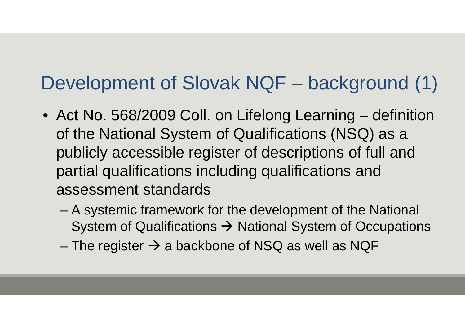### Development of Slovak NQF – background (1)

- Act No. 568/2009 Coll. on Lifelong Learning definition of the National System of Qualifications (NSQ) as a publicly accessible register of descriptions of full and partial qualifications including qualifications and assessment standards
	- – A systemic framework for the development of the National System of Qualifications  $\rightarrow$  National System of Occupations<br>The register N a hackbang of NGO as well as NOF
	- The register  $\rightarrow$  a backbone of NSQ as well as NQF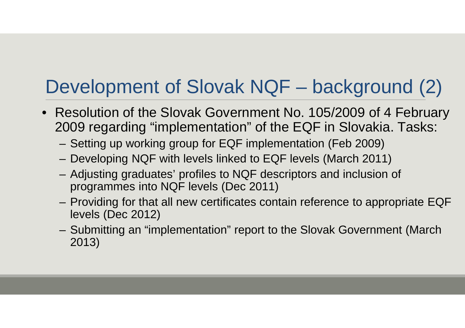## Development of Slovak NQF – background (2)

- Resolution of the Slovak Government No. 105/2009 of 4 February 2009 regarding "implementation" of the EQF in Slovakia. Tasks:
	- –Setting up working group for EQF implementation (Feb 2009)
	- –Developing NQF with levels linked to EQF levels (March 2011)
	- – Adjusting graduates' profiles to NQF descriptors and inclusion of programmes into NQF levels (Dec 2011)
	- Providing for that all new certificates contain reference to appropriate EQF levels (Dec 2012)
	- – Submitting an "implementation" report to the Slovak Government (March 2013)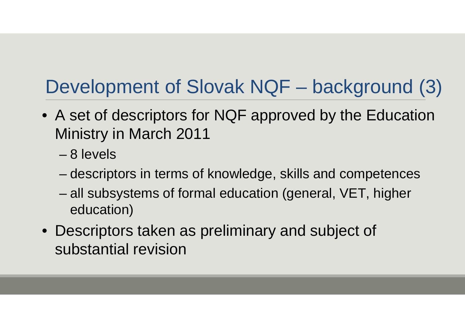## Development of Slovak NQF – background (3)

- A set of descriptors for NQF approved by the Education Ministry in March 2011
	- 8 levels
	- descriptors in terms of knowledge, skills and competences
	- all subsystems of formal education (general, VET, higher education)
- Descriptors taken as preliminary and subject of substantial revision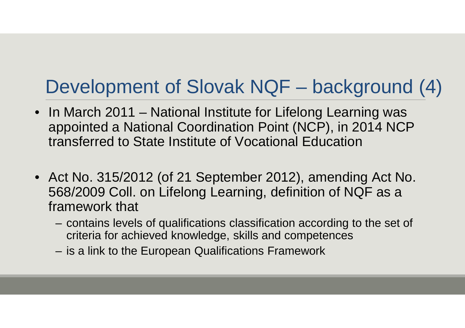## Development of Slovak NQF – background (4)

- In March 2011 National Institute for Lifelong Learning was appointed a National Coordination Point (NCP), in 2014 NCP transferred to State Institute of Vocational Education
- Act No. 315/2012 (of 21 September 2012), amending Act No. 568/2009 Coll. on Lifelong Learning, definition of NQF as a framework that
	- – contains levels of qualifications classification according to the set of criteria for achieved knowledge, skills and competences
	- –is a link to the European Qualifications Framework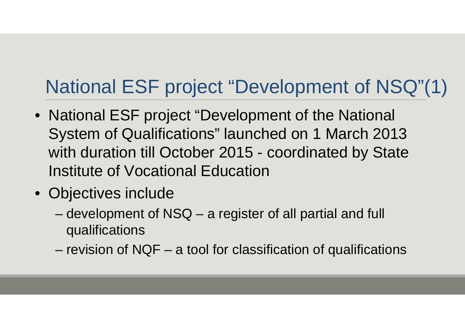#### National ESF project "Development of NSQ"(1)

- National ESF project "Development of the National System of Qualifications" launched on 1 March 2013 with duration till October 2015 - coordinated by State Institute of Vocational Education
- Objectives include
	- – development of NSQ – a register of all partial and full qualifications
	- revision of NQF a tool for classification of qualifications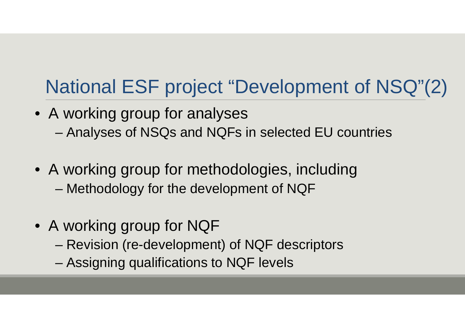#### National ESF project "Development of NSQ"(2)

- A working group for analyses –Analyses of NSQs and NQFs in selected EU countries
- A working group for methodologies, including–Methodology for the development of NQF
- A working group for NQF
	- Revision (re-development) of NQF descriptors
	- –Assigning qualifications to NQF levels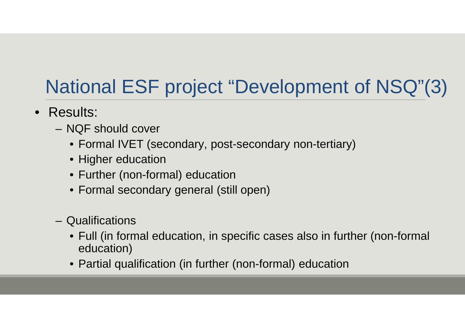#### National ESF project "Development of NSQ"(3)

- Results:
	- – NQF should cover
		- Formal IVET (secondary, post-secondary non-tertiary)
		- Higher education
		- Further (non-formal) education
		- Formal secondary general (still open)
	- –**Qualifications** 
		- Full (in formal education, in specific cases also in further (non-formal education)
		- Partial qualification (in further (non-formal) education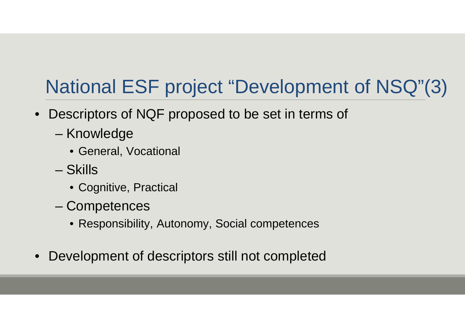#### National ESF project "Development of NSQ"(3)

- $\bullet$  Descriptors of NQF proposed to be set in terms of
	- Knowledge
		- General, Vocational
	- **Skills** 
		- Cognitive, Practical
	- –**Competences** 
		- Responsibility, Autonomy, Social competences
- $\bullet$ Development of descriptors still not completed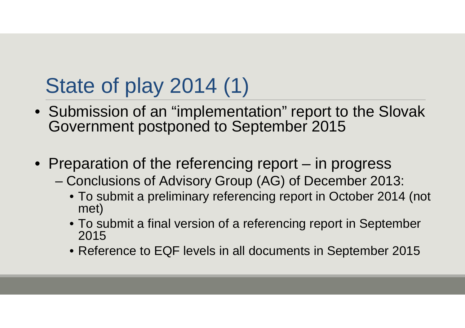# State of play 2014 (1)

- Submission of an "implementation" report to the Slovak Government postponed to September 2015
- Preparation of the referencing report in progress
	- Conclusions of Advisory Group (AG) of December 2013:
		- To submit a preliminary referencing report in October 2014 (not met)
		- To submit a final version of a referencing report in September 2015
		- Reference to EQF levels in all documents in September 2015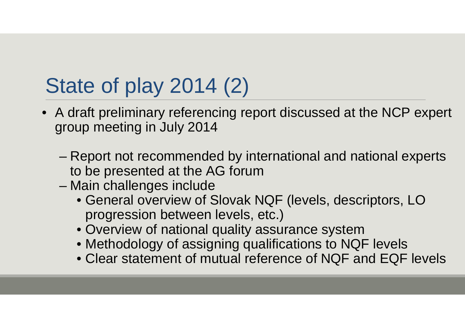# State of play 2014 (2)

- A draft preliminary referencing report discussed at the NCP expert group meeting in July 2014
	- – Report not recommended by international and national experts to be presented at the AG forum
	- Main challenges include
		- General overview of Slovak NQF (levels, descriptors, LO progression between levels, etc.)
		- Overview of national quality assurance system
		- Methodology of assigning qualifications to NQF levels
		- Clear statement of mutual reference of NQF and EQF levels